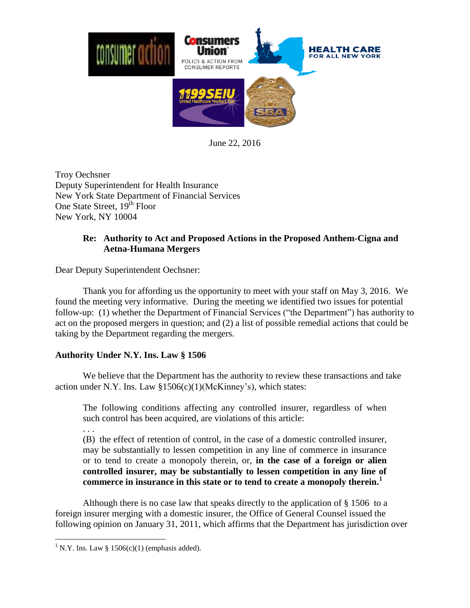

June 22, 2016

Troy Oechsner Deputy Superintendent for Health Insurance New York State Department of Financial Services One State Street, 19<sup>th</sup> Floor New York, NY 10004

## **Re: Authority to Act and Proposed Actions in the Proposed Anthem-Cigna and Aetna-Humana Mergers**

Dear Deputy Superintendent Oechsner:

Thank you for affording us the opportunity to meet with your staff on May 3, 2016. We found the meeting very informative. During the meeting we identified two issues for potential follow-up: (1) whether the Department of Financial Services ("the Department") has authority to act on the proposed mergers in question; and (2) a list of possible remedial actions that could be taking by the Department regarding the mergers.

## **Authority Under N.Y. Ins. Law § 1506**

We believe that the Department has the authority to review these transactions and take action under N.Y. Ins. Law §1506(c)(1)(McKinney's), which states:

The following conditions affecting any controlled insurer, regardless of when such control has been acquired, are violations of this article:

. . .

 $\overline{\phantom{a}}$ 

(B) the effect of retention of control, in the case of a domestic controlled insurer, may be substantially to lessen competition in any line of commerce in insurance or to tend to create a monopoly therein, or, **in the case of a foreign or alien controlled insurer, may be substantially to lessen competition in any line of commerce in insurance in this state or to tend to create a monopoly therein.<sup>1</sup>**

Although there is no case law that speaks directly to the application of § 1506 to a foreign insurer merging with a domestic insurer, the Office of General Counsel issued the following opinion on January 31, 2011, which affirms that the Department has jurisdiction over

<sup>&</sup>lt;sup>1</sup> N.Y. Ins. Law § 1506(c)(1) (emphasis added).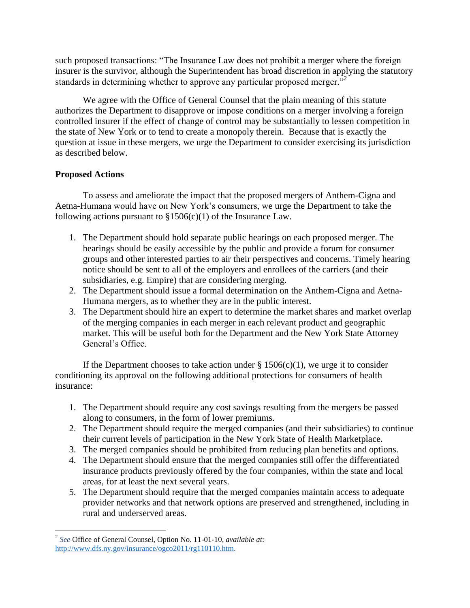such proposed transactions: "The Insurance Law does not prohibit a merger where the foreign insurer is the survivor, although the Superintendent has broad discretion in applying the statutory standards in determining whether to approve any particular proposed merger.<sup>32</sup>

We agree with the Office of General Counsel that the plain meaning of this statute authorizes the Department to disapprove or impose conditions on a merger involving a foreign controlled insurer if the effect of change of control may be substantially to lessen competition in the state of New York or to tend to create a monopoly therein. Because that is exactly the question at issue in these mergers, we urge the Department to consider exercising its jurisdiction as described below.

## **Proposed Actions**

To assess and ameliorate the impact that the proposed mergers of Anthem-Cigna and Aetna-Humana would have on New York's consumers, we urge the Department to take the following actions pursuant to  $$1506(c)(1)$  of the Insurance Law.

- 1. The Department should hold separate public hearings on each proposed merger. The hearings should be easily accessible by the public and provide a forum for consumer groups and other interested parties to air their perspectives and concerns. Timely hearing notice should be sent to all of the employers and enrollees of the carriers (and their subsidiaries, e.g. Empire) that are considering merging.
- 2. The Department should issue a formal determination on the Anthem-Cigna and Aetna-Humana mergers, as to whether they are in the public interest.
- 3. The Department should hire an expert to determine the market shares and market overlap of the merging companies in each merger in each relevant product and geographic market. This will be useful both for the Department and the New York State Attorney General's Office.

If the Department chooses to take action under  $\S 1506(c)(1)$ , we urge it to consider conditioning its approval on the following additional protections for consumers of health insurance:

- 1. The Department should require any cost savings resulting from the mergers be passed along to consumers, in the form of lower premiums.
- 2. The Department should require the merged companies (and their subsidiaries) to continue their current levels of participation in the New York State of Health Marketplace.
- 3. The merged companies should be prohibited from reducing plan benefits and options.
- 4. The Department should ensure that the merged companies still offer the differentiated insurance products previously offered by the four companies, within the state and local areas, for at least the next several years.
- 5. The Department should require that the merged companies maintain access to adequate provider networks and that network options are preserved and strengthened, including in rural and underserved areas.

 2 *See* Office of General Counsel, Option No. 11-01-10, *available at*: [http://www.dfs.ny.gov/insurance/ogco2011/rg110110.htm.](http://www.dfs.ny.gov/insurance/ogco2011/rg110110.htm)